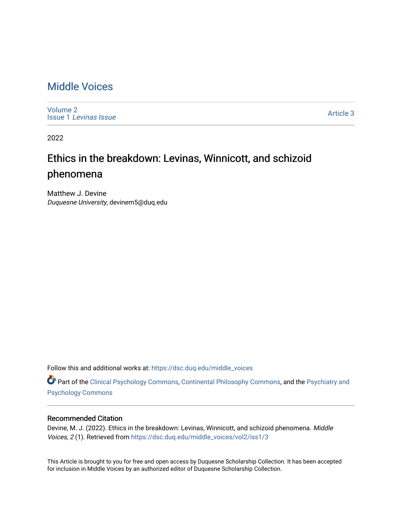### [Middle Voices](https://dsc.duq.edu/middle_voices)

[Volume 2](https://dsc.duq.edu/middle_voices/vol2) Issue 1 [Levinas Issue](https://dsc.duq.edu/middle_voices/vol2/iss1)

[Article 3](https://dsc.duq.edu/middle_voices/vol2/iss1/3) 

2022

## Ethics in the breakdown: Levinas, Winnicott, and schizoid phenomena

Matthew J. Devine Duquesne University, devinem5@duq.edu

Follow this and additional works at: [https://dsc.duq.edu/middle\\_voices](https://dsc.duq.edu/middle_voices?utm_source=dsc.duq.edu%2Fmiddle_voices%2Fvol2%2Fiss1%2F3&utm_medium=PDF&utm_campaign=PDFCoverPages)

**Part of the [Clinical Psychology Commons,](http://network.bepress.com/hgg/discipline/406?utm_source=dsc.duq.edu%2Fmiddle_voices%2Fvol2%2Fiss1%2F3&utm_medium=PDF&utm_campaign=PDFCoverPages) [Continental Philosophy Commons](http://network.bepress.com/hgg/discipline/526?utm_source=dsc.duq.edu%2Fmiddle_voices%2Fvol2%2Fiss1%2F3&utm_medium=PDF&utm_campaign=PDFCoverPages), and the Psychiatry and** [Psychology Commons](http://network.bepress.com/hgg/discipline/908?utm_source=dsc.duq.edu%2Fmiddle_voices%2Fvol2%2Fiss1%2F3&utm_medium=PDF&utm_campaign=PDFCoverPages) 

#### Recommended Citation

Devine, M. J. (2022). Ethics in the breakdown: Levinas, Winnicott, and schizoid phenomena. Middle Voices, 2 (1). Retrieved from [https://dsc.duq.edu/middle\\_voices/vol2/iss1/3](https://dsc.duq.edu/middle_voices/vol2/iss1/3?utm_source=dsc.duq.edu%2Fmiddle_voices%2Fvol2%2Fiss1%2F3&utm_medium=PDF&utm_campaign=PDFCoverPages) 

This Article is brought to you for free and open access by Duquesne Scholarship Collection. It has been accepted for inclusion in Middle Voices by an authorized editor of Duquesne Scholarship Collection.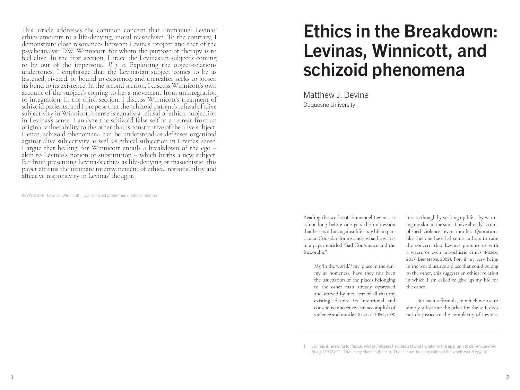This article addresses the common concern that Emmanuel Levinas' ethics amounts to a life-denying, moral masochism. To the contrary, I demonstrate close resonances between Levinas' project and that of the psychoanalyst D.W. Winnicott, for whom the purpose of therapy is to feel alive. In the first section, I trace the Levinasian subject's coming to be out of the impersonal *Il y a*. Exploiting the object-relations undertones, I emphasize that the Levinasian subject comes to be as fastened, riveted, or bound to existence, and thereafter seeks to loosen its bond to its existence. In the second section, I discuss Winnicott's own account of the subject's coming to be: a movement from unintegration to integration. In the third section, I discuss Winnicott's treatment of schizoid patients, and I propose that the schizoid patient's refusal of alive subjectivity in Winnicott's sense is equally a refusal of ethical subjection in Levinas's sense. I analyze the schizoid false self as a retreat from an original vulnerability to the other that is constitutive of the alive subject. Hence, schizoid phenomena can be understood as defenses organized against alive subjectivity as well as ethical subjection in Levinas' sense. I argue that healing for Winnicott entails a breakdown of the ego – akin to Levinas's notion of substitution – which births a new subject. Far from presenting Levinas's ethics as life-denying or masochistic, this paper affirms the intimate intertwinement of ethical responsibility and affective responsivity in Levinas' thought.

KEYWORDS: Levinas, Winnicott, Il y a, schizoid phenomena, ethical relation

# Ethics in the Breakdown: Levinas, Winnicott, and schizoid phenomena

Matthew J. Devine Duquesne University

Reading the works of Emmanuel Levinas, it is not long before one gets the impression that he sets ethics against life – *my* life in particular. Consider, for instance, what he writes in a paper entitled "Bad Conscience and the Inexorable":

> My 'in the world,' $1$  my 'place in the sun,' my at homeness, have they not been the usurpation of the places belonging to the other man already oppressed and starved by me? Fear of all that my existing, despite its intentional and conscious innocence, can accomplish of violence and murder. (Levinas, 1986, p. 38)

It is as though by soaking up life – by warming my skin in the sun – I have already accomplished violence, even murder. Quotations like this one have led some authors to raise the concern that Levinas presents us with a severe or even masochistic ethics (Rizzolo, 2017; Bernasconi, 2002). For, if my very being in the world usurps a place that could belong to the other, this suggests an ethical relation in which I am called to give up my life for the other.

But such a formula, in which we are to simply substitute the other for the self, does not do justice to the complexity of Levinas'

<sup>1</sup> Levinas is referring to Pascal, whose *Pensées* he cites a few years later in the epigraph to *Otherwise than Being* (1998): '"…That is my place in the sun.' That is how the usurpation of the whole world began."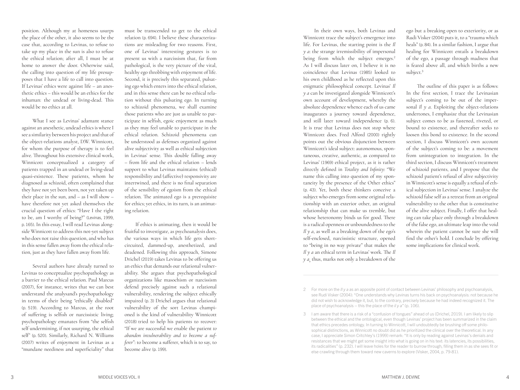position. Although my at homeness usurps the place of the other, it also seems to be the case that, according to Levinas, to refuse to take up my place in the sun is also to refuse the ethical relation; after all, I must be at home to answer the door. Otherwise said, the calling into question of my life presup poses that I have a life to call into question. If Levinas' ethics were against life – an anes thetic ethics – this would be an ethics for the inhuman: the undead or living-dead. This would be no ethics at all.

What I see as Levinas' adamant stance against an anesthetic, undead ethics is where I see a similarity between his project and that of the object-relations analyst, D.W. Winnicott, for whom the purpose of therapy is to feel alive. Throughout his extensive clinical work, Winnicott conceptualized a category of patients trapped in an undead or living-dead quasi-existence. These patients, whom he diagnosed as schizoid, often complained that they have not yet been born, not yet taken up their place in the sun, and – as I will show – have therefore not yet asked themselves the crucial question of ethics: "Have I the right to be, am I worthy of being?" (Levinas, 1999, p. 165). In this essay, I will read Levinas along side Winnicott to address this not-yet subject who does not raise this question, and who has in this sense fallen away from the ethical rela tion, just as they have fallen away from life.

Several authors have already turned to Levinas to conceptualize psychopathology as a barrier to the ethical relation. Paul Marcus (2007), for instance, writes that we can best understand the analysand's psychopathology in terms of their being "ethically disabled" (p. 519). According to Marcus, at the root of suffering is selfish or narcissistic living; psychopathology emanates from "the selfish self undermining, if not usurping, the ethical self" (p. 520). Similarly, Richard N. Williams (2007) writes of enjoyment in Levinas as a "mundane neediness and superficiality" that

must be transcended to get to the ethical relation (p. 694). I believe these characteriza tions are misleading for two reasons. First, one of Levinas' interesting gestures is to present us with a narcissism that, far from pathological, is the very picture of the vital, healthy ego throbbing with enjoyment of life. Second, it is precisely this separated, pulsat ing ego which enters into the ethical relation, and in this sense there can be no ethical rela tion without this pulsating ego. In turning to schizoid phenomena, we shall examine those patients who are just as unable to par ticipate in selfish, egoic enjoyment as much as they may feel unable to participate in the ethical relation. Schizoid phenomena can be understood as defenses organized against alive subjectivity as well as ethical subjection in Levinas' sense. This double falling away – from life and the ethical relation – lends support to what Levinas maintains: (ethical) responsibility and (affective) responsivity are intertwined, and there is no final separation of the sensibility of egoism from the ethical relation. The animated ego is a prerequisite for ethics; yet ethics, in its turn, is an animat ing relation.

If ethics is animating, then it would be fruitful to investigate, as psychoanalysis does, the various ways in which life gets shortcircuited, dammed-up, anesthetized, and deadened. Following this approach, Simone Drichel (2019) takes Levinas to be offering us an ethics that demands our relational vulner ability. She argues that psychopathological organizations like masochism or narcissism defend precisely against such a relational vulnerability, rendering the subject ethically impaired (p. 3) Drichel argues that relational vulnerability of the sort Levinas champi oned is the kind of vulnerability Winnicott (2018) tried to help his patients to recover: "If we are successful we enable the patient *to abandon invulnerability and to become a sufferer*": to become a sufferer, which is to say, to become alive (p. 199).

In their own ways, both Levinas and Winnicott trace the subject's emergence into life. For Levinas, the starting point is the *Il y a*: the strange irremissibility of impersonal being from which the subject emerges. 2 As I will discuss later on, I believe it is no coincidence that Levinas (1985) looked to his own childhood as he reflected upon this enigmatic philosophical concept. Levinas' *Il y a* can be investigated alongside Winnicott's own account of development, whereby the absolute dependence whence each of us came inaugurates a journey toward dependence, and still later toward independence (p. 6). It is true that Levinas does not stop where Winnicott does. Fred Alford (2000) rightly points out the obvious disjunction between Winnicott's ideal subject: autonomous, spon taneous, creative, authentic, as compared to Levinas' (1969) ethical project, as it is rather directly defined in *Totality and Infinity*: "We name this calling into question of my spon taneity by the presence of the Other ethics" (p. 43). Yet, both these thinkers conceive a subject who emerges from some original rela tionship with an exterior other, an original relationship that can make us tremble, but whose heteronomy binds us for good. There is a radical openness or unboundedness to the *Il y a*, as well as a breaking down of the ego's self-enclosed, narcissistic structure, opened to "being in no way private" that makes the *Il y a* an ethical term in Levinas' work. The *Il y a*¸ thus, marks not only a breakdown of the

ego but a breaking open to exteriority, or as Rudi Visker (2004) puts it, to a "trauma which heals" (p. 84). In a similar fashion, I argue that healing for Winnicott entails a breakdown of the ego, a passage through madness that is feared above all, and which births a new subject. 3

The outline of this paper is as follows: In the first section, I trace the Levinasian subject's coming to be out of the imper sonal *Il y a*. Exploiting the object-relations undertones, I emphasize that the Levinasian subject comes to be as fastened, riveted, or bound to existence, and thereafter seeks to loosen this bond to existence. In the second section, I discuss Winnicott's own account of the subject's coming to be: a movement from unintegration to integration. In the third section, I discuss Winnicott's treatment of schizoid patients, and I propose that the schizoid patient's refusal of alive subjectivity in Winnicott's sense is equally a refusal of eth ical subjection in Levinas' sense. I analyze the schizoid false self as a retreat from an original vulnerability to the other that is constitutive of the alive subject. Finally, I offer that heal ing can take place only through a breakdown of the false ego, an ultimate leap into the void wherein the patient cannot be sure she will find the other's hold. I conclude by offering some implications for clinical work.

<sup>2</sup> For more on the *Il y a* as an apposite point of contact between Levinas' philosophy and psychoanalysis, see Rudi Visker (2004): "One understands why Levinas turns his back on psychoanalysis: not because he did not wish to acknowledge it, but, to the contrary, precisely because he had indeed recognized it. The place of psychoanalysis – this the place of the *il y a*" (p. 106).

<sup>3</sup> I am aware that there is a risk of a "confusion of tongues" ahead of us (Drichel, 2019). I am likely to slip between the ethical and the ontological, even though Levinas' project has been summarized in the claim that ethics precedes ontology. In turning to Winnicott, I will undoubtedly be brushing off some philo sophical distinctions, as Winnicott no doubt did as he prioritized the clinical over the theoretical. In any case, I appreciate Simon Critchley's (1999) remark: "It is only by reading against Levinas's denials and resistances that we might get some insight into what is going on in his text: its latencies, its possibilities, its radicalities" (p. 232). I will leave holes for the reader to burrow through, filling them in as she sees fit or else crawling through them toward new caverns to explore (Visker, 2004, p. 79-81).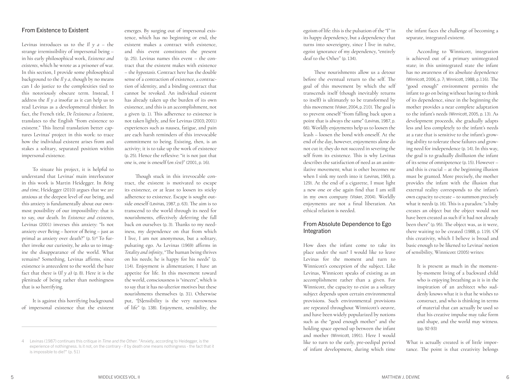#### From Existence to Existent

Levinas introduces us to the *Il y a* – the strange irremissibility of impersonal being – in his early philosophical work, *Existence and existents*, which he wrote as a prisoner of war. In this section, I provide some philosophical background to the *Il y a*, though by no means can I do justice to the complexities tied to this notoriously obscure term. Instead, I address the *Il y a* insofar as it can help us to read Levinas as a developmental thinker. In fact, the French title, *De l'existence a l'existent*, translates to the English "from existence to existent." This literal translation better cap tures Levinas' project in this work: to trace how the individual existent arises from and stakes a solitary, separated position within impersonal existence.

To situate his project, it is helpful to understand that Levinas' main interlocutor in this work is Martin Heidegger. In *Being and time*, Heidegger (2010) argues that we are anxious at the deepest level of our being, and this anxiety is fundamentally about our ownmost possibility of our impossibility: that is to say, our death. In *Existence and existents*, Levinas (2001) inverses this anxiety: "Is not anxiety over Being – horror of Being – just as primal as anxiety over death?" (p. 5) <sup>4</sup> To fur ther invoke our curiosity, he asks us to imag ine the disappearance of the world. What remains? Something, Levinas affirms, since existence is antecedent to the world: the bare fact that there is  $(I \mid \gamma a)$  (p. 8). Here it is the plenitude of being rather than nothingness that is so horrifying.

It is against this horrifying background of impersonal existence that the existent

emerges. By surging out of impersonal exis tence, which has no beginning or end, the existent makes a contract with existence, and this event constitutes the present (p. 25). Levinas names this event – the con tract that the existent makes with existence – the *hypostasis*. Contract here has the double sense of a contraction of existence, a contrac tion of identity, and a binding contract that cannot be revoked. An individual existent has already taken up the burden of its own existence, and this is an accomplishment, not a given (p. 1). This adherence to existence is not taken lightly, and for Levinas (2003; 2001) experiences such as nausea, fatigue, and pain are each harsh reminders of this irrevocable commitment to being. Existing, then, is an activity; it is to take up the work of existence (p. 25). Hence the reflexive: "it is not just that one is, one is oneself (*on s'est*)" (2001, p. 16).

Though stuck in this irrevocable con tract, the existent is motivated to escape its existence, or at least to loosen its sticky adherence to existence. Escape is sought out side oneself (Levinas, 1987, p. 63). The aim is to transcend to the world through its need for nourishments, effectively deferring the fall back on ourselves (p. 3). Thanks to my need iness, my dependence on that from which I live, I am not anonymous, but a solitary, pulsating ego. As Levinas (1969) affirms in *Totality and infinity*, "The human being thrives on his needs; he is happy for his needs" (p. 114). Enjoyment is alimentation; I have an appetite for life. In this movement toward the world, consciousness is "sincere", which is to say that it has no ulterior motives but these nourishments themselves (p. 31). Otherwise put, "[S]ensibility is the very narrowness of life" (p. 138). Enjoyment, sensibility, the

egoism of life: this is the pulsation of the "I" in its happy dependency, but a dependency that turns into sovereignty, since I live in naïve, egoist ignorance of my dependency, "entirely deaf to the Other" (p. 134).

These nourishments allow us a detour before the eventual return to the self. The goal of this movement by which the self transcends itself (though inevitably returns to itself) is ultimately to be transformed by this movement (Visker, 2004, p. 210). The goal is to prevent oneself "from falling back upon a point that is always the same" (Levinas, 1987, p. 66). Worldly enjoyments help us to loosen the leash – loosen the bond with oneself. At the end of the day, however, enjoyments alone do not cut it; they do not succeed in severing the self from its existence. This is why Levinas describes the satisfaction of need as an assim ilative movement; what is other becomes *me*  when I sink my teeth into it (Levinas, 1969, p. 129). At the end of a cigarette, I must light a new one or else again find that I am still in my own company (Visker, 2004). Worldly enjoyments are not a final liberation. An ethical relation is needed.

#### From Absolute Dependence to Ego Integration

How does the infant come to take its place under the sun? I would like to leave Levinas for the moment and turn to Winnicott's conception of the subject. Like Levinas, Winnicott speaks of existing as an accomplishment rather than a given. For Winnicott, the capacity to exist as a solitary subject depends upon certain environmental provisions. Such environmental provisions are repeated throughout Winnicott's oeuvre, and have been widely popularized by notions such as the "good enough mother" and the holding space opened up between the infant and mother (Winnicott, 1991). Here I would like to turn to the early, pre-oedipal period of infant development, during which time

the infant faces the challenge of becoming a separate, integrated existent.

According to Winnicott, integration is achieved out of a primary unintegrated state; in this unintegrated state the infant has no awareness of its absolute dependence (Winnicott, 2006, p. 7; Winnicott, 1988, p.116). The "good enough" environment permits the infant to go on being without having to think of its dependence, since in the beginning the mother provides a near complete adaptation to the infant's needs (Winnicott, 2005, p. 13). As development proceeds, she gradually adapts less and less completely to the infant's needs at a rate that is sensitive to the infant's grow ing ability to tolerate these failures and grow ing need for independence (p. 14). In this way, the goal is to gradually disillusion the infant of its sense of omnipotence (p. 15). However – and this is crucial – at the beginning illusion must be granted. More precisely, the mother provides the infant with the illusion that external reality corresponds to the infant's own capacity to create – to summon precisely what it needs (p. 16). This is a paradox: "a baby creates an object but the object would not have been created as such if it had not already been there" (p. 95). The object was, as it were, there waiting to be created (1988, p. 119). Of this creativity, which I believe is broad and basic enough to be likened to Levinas' notion of sensibility, Winnicott (2005) writes:

> It is present as much in the momentby-moment living of a backward child who is enjoying breathing as it is in the inspiration of an architect who sud denly knows what it is that he wishes to construct, and who is thinking in terms of material that can actually be used so that his creative impulse may take form and shape, and the world may witness. (pp. 92-93)

What is actually created is of little impor tance. The point is that creativity belongs

<sup>4</sup> Levinas (1987) continues this critique in *Time and the Other*: "Anxiety, according to Heidegger, is the experience of nothingness. Is it not, on the contrary - if by death one means nothingness - the fact that it is impossible to die?" (p. 51)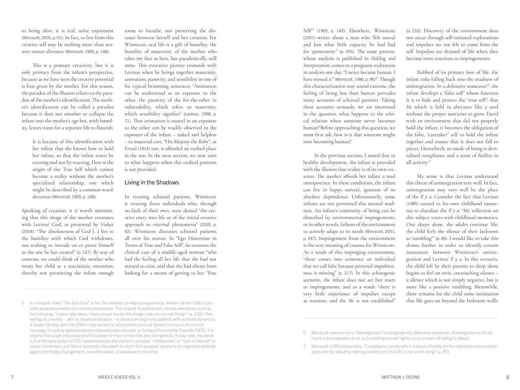to being alive; it is real, naïve enjoyment (Winnicott, 2005, p. 91). In fact, to live from this creative self may be nothing more than sensory-motor aliveness (Winnicott, 1965, p. 148).

This is a primary creativity, but it is only primary from the infant's perspective, because as we have seen the creative potential is first given by the mother. For this reason, the paradox of the illusion relates to the paradox of the mother's identification. The mother's identification can be called a paradox because it does not smother or collapse the infant into the mother's ego but, with humility, leaves room for a separate life to flourish:

> It is because of this identification with her infant that she knows how to hold her infant, so that the infant starts by existing and not by reacting. Here is the origin of the True Self which cannot become a reality without the mother's specialized relationship, one which might be described by a common word: devotion (Winnicott, 1965, p. 148).

Speaking of creation, it is worth mentioning that this image of the mother resonates with Levinas' God, as presented by Visker (2004): "The absoluteness of God […] lies in the humility with which God withdraws, not wishing to intrude on or prove himself to the one he has created" (p. 107). By way of contrast, we could think of the mother who treats her child as a narcissistic extension, thereby not permitting the infant enough

room to breathe, not preserving the distance between herself and her creation. For Winnicott, real life is a gift of humility, the humility of maternity, of the mother who takes my face as hers, but paradoxically, still mine. This evocative picture resounds with Levinas when he brings together maternity, animation, passivity, and sensibility in one of his typical brimming sentences: "Animation can be understood as an exposure to the other, the passivity of the for-the-other in vulnerability, which refers to maternity, which sensibility signifies" (Levinas, 1998, p. 71). That animation is rooted in an exposure to the other can be readily observed in the exposure of the infant – naked and helpless – to maternal care. "His Majesty the Baby", as Freud (1914) saw, is afforded an exalted place in the sun. In the next section, we now turn to what happens when this exalted position is not provided.

#### Living in the Shadows

In treating schizoid patients, Winnicott is treating those individuals who, through no fault of their own, were denied "the creative entry into life or of the initial creative approach to external phenomena" (2005, p. 92). Winnicott discusses schizoid patients all over his oeuvre. In "Ego Distortion in Terms of True and False Self", he recounts the clinical case of a middle-aged woman "who had the feeling all her life that she had not started to exist, and that she had always been looking for a means of getting to her 'True

Self'" (1965, p. 142). Elsewhere, Winnicott (2001) writes about a man who "felt unreal and lost what little capacity he had had for spontaneity" (p. 255). The same patient, whose analysis is published in *Holding and Interpretation*, comes to a poignant realization in analysis one day: "I never became human. I have missed it" (Winnicott, 1986, p. 96)<sup>5</sup>. Though this characterization may sound extreme, the feeling of being less than human pervades many accounts of schizoid patients. Taking these accounts seriously, we are interested in the question: what happens to the ethical relation when someone never becomes human? Before approaching this question, we must first ask: how is it that someone might miss becoming human?

In the previous section, I noted that in healthy development, the infant is provided with the illusion that reality is of its own creation. The mother affords her infant a mad omnipotence. In these conditions, the infant can live in happy naïveté, ignorant of its absolute dependence. Unfortunately, some infants are not permitted this normal madness. An infant's continuity of being can be disturbed by environmental impingements, or in other words, failures of the environment to actively adapt to its needs (Winnicott, 2001, p. 247). Impingement from the environment is the very meaning of trauma for Winnicott. As a result of this impinging environment, "there comes into existence an individual that we call false because personal impulsiveness is missing" (p. 217). In this schizogenic scenario, the infant does not *act* but *reacts*  to impingements, and as a result "there is very little experience of impulses except as *reactions*, and the *Me* is not established" (p. 216). Discovery of the environment does not occur through self-initiated explorations and impulses are not felt to come from the self. Impulses are drained of life when they become mere reactions to impingements.

Robbed of its primary love of life, the infant risks falling back into the madness of unintegration. In a defensive maneuver<sup>6</sup>, the infant develops a "false self" whose function it is to hide and protect the "true self": that *Me* which is held in abeyance like a seed without the proper nutrients to grow. Faced with an environment that did not properly hold the infant, it becomes the obligation of the false, "caretaker" self to hold the infant together and ensure that it does not fall to pieces. Henceforth, its mode of being is devitalized compliance and a sense of futility in all activity.<sup>7</sup>

My sense is that Levinas understood this threat of unintegration very well. In fact, unintegration may very well be the place of the *Il y a*. Consider the fact that Levinas (1985) turned to his own childhood insomnia to elucidate the *Il y a*: "My reflection on this subject starts with childhood memories. One sleeps alone, the adults continue life; the child feels the silence of their bedroom as 'rumbling'" (p. 48). I would like to take this drama further in order to identify certain resonances between Winnicott's unintegration and Levinas' *Il y a*. In this scenario, the child left by their parents to sleep alone begins to feel an eerie, encroaching silence – a silence which is not simply negative, but is more like a positive rumbling. Meanwhile, there remains for the child some intimation that life goes on beyond the bedroom walls:

<sup>5</sup> In a chapter titled "The Sick Soul" in his *The varieties of religious experience,* William James (1961) provides several examples of schizoid phenomena. The chapter is replete with clinical anecdotes, such as the following: "I weep false tears, I have unreal hands: the things I see are not real things" (p .132). The feeling of unreality – akin to depersonalization – is shared among many patients with schizoid dynamics. A reader familiar with the DSM-V may wonder to what extent schizoid dynamics map on to current nosology, including depersonalization/derealization disorder or Schizoid Personality Disorder (SPD). It is beyond the scope and purpose of this paper to trace similarities and divergences. In any case, my sense is that the description of SPD overemphasizes the patient's putative "indifference" or "lack of interest" in social connection, and hence overlooks the extent to which this apparent apathy is an organized defense against terrifying impingement, overstimulation, or exposure to the other.

<sup>6</sup> Winnicott uses the term "disintegration" to designate this defensive maneuver. Disintegration is not so much a disintegration at all, but a holding oneself tightly so as to ward off falling to pieces.

<sup>7</sup> Winnicott (1991) elaborates: "Compliance carries with it a sense of futility for the individual and is associated with the idea that nothing matters and that life is not worth living" (p. 87).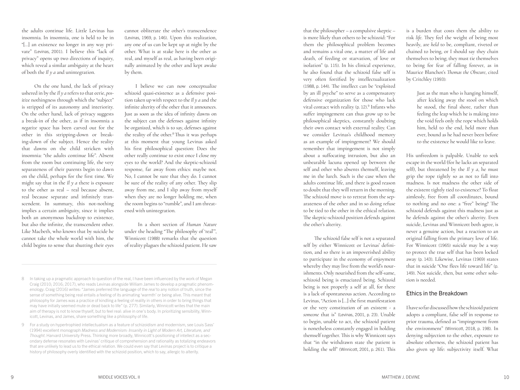the adults continue life. Little Levinas has insomnia. In insomnia, one is held to be in "[…] an existence no longer in any way pri vate" (Levinas, 2001). I believe this "lack of privacy" opens up two directions of inquiry, which reveal a similar ambiguity at the heart of both the *Il y a* and unintegration.

 On the one hand, the lack of privacy ushered in by the *Il y a* refers to that eerie, *pos itive* nothingness through which the "subject" is stripped of its autonomy and interiority. On the other hand, lack of privacy suggests a break-in of the other, as if in insomnia a *negative* space has been carved out for the other in this stripping-down or breaking-down of the subject. Hence the reality that dawns on the child stricken with insomnia: "the adults continue life". Absent from the room but continuing life, the very separateness of their parents begin to dawn on the child, perhaps for the first time. We might say that in the *Il y a* there is exposure to the other as real – real because absent, real because separate and infinitely tran scendent. In summary, this not-nothing implies a certain ambiguity, since it implies both an anonymous backdrop to existence, but also the infinite, the transcendent other. Like Macbeth, who knows that by suicide he cannot take the whole world with him, the child begins to sense that shutting their eyes

cannot obliterate the other's transcendence (Levinas, 1969, p. 146). Upon this realization, any one of us can be kept up at night by the other. What is at stake here is the other as real, and myself as real, as having been origi nally animated by the other and kept awake by them.

I believe we can now conceptualize schizoid quasi-existence as a defensive posi tion taken up with respect to the *Il y a* and the infinite alterity of the other that it announces. Just as soon as the idea of infinity dawns on the subject can the defenses against infinity be organized, which is to say, defenses against the reality of the other.<sup>8</sup> Thus it was perhaps at this moment that young Levinas asked his first philosophical question: Does the other really continue to exist once I close my eyes to the world? And the skeptic-schizoid response, far away from ethics: maybe not. No, I cannot be sure that they do. I cannot be sure of the reality of any other. They slip away from me, and I slip away from myself when they are no longer holding me, when the room begins to "rumble", and I am threat ened with unintegration.

 In a short section of *Human Nature*  under the heading "The philosophy of 'real'", Winnicott (1988) remarks that the question of reality plagues the schizoid patient. He saw

- 8 In taking up a pragmatic approach to question of the real, I have been influenced by the work of Megan Craig (2010; 2016; 2017), who reads Levinas alongside William James to develop a pragmatic phenom enology. Craig (2016) writes: "James preferred the language of the *real* to any notion of truth, since the sense of something being real entails a feeling of its animating 'warmth' or being alive. This meant that philosophy for James was a practice of kindling a feeling of reality in others in order to bring things that may have initially seemed mute or dead back to life" (p. 277). Similarly, Winnicott writes that the main aim of therapy is not to know thyself, but to feel real: alive in one's body. In prioritizing sensibility, Winn icott, Levinas, and James, share something like a philosophy of life.
- 9 For a study on hypertrophied intellectualism as a feature of schizoidism and modernism, see Louis Sass' (1994) excellent monograph *Madness and Modernism: Insanity in Light of Modern Art, Literature, and Thought*. Harvard University Press. Thinking more broadly, Winnicott's positioning of intellect as a sec ondary defense resonates with Levinas' critique of comprehension and rationality as totalizing endeavors that are unlikely to lead us to the ethical relation. We could even say that Levinas project is to critique a history of philosophy overly identified with the schizoid position, which to say, allergic to alterity.

that the philosopher – a compulsive skeptic – is more likely than others to be schizoid: "For them the philosophical problem becomes and remains a vital one, a matter of life and death, of feeding or starvation, of love or isolation" (p. 115). In his clinical experience, he also found that the schizoid false self is very often fortified by intellectualization (1988, p. 144). The intellect can be "exploited by an ill psyche" to serve as a compensatory defensive organization for those who lack vital contact with reality (p. 12) 9 Infants who . suffer impingement can thus grow up to be philosophical skeptics, constantly doubting their own contact with external reality. Can we consider Levinas's childhood memory as an example of impingement? We should remember that impingement is not simply about a suffocating intrusion, but also an unbearable lacuna opened up between the self and other who absents themself, leaving me in the lurch. Such is the case when the adults continue life, and there is good reason to doubt that they will return in the morning. The schizoid move is to retreat from the sep arateness of the other and in so doing refuse to be tied to the other in the ethical relation. The skeptic-schizoid position defends against the other's alterity.

The schizoid false self is not a separated self by either Winnicott or Levinas' defini tion, and so there is an impoverished ability to participate in the economy of enjoyment whereby they may live from the world's nour ishments. Only nourished from the self-same, schizoid being is emaciated being. Schizoid being is not properly a self at all, for there is a lack of spontaneous action. According to Levinas, "Action is […] the first manifestation or the very constitution of an existent - a *someone* that is" (Levinas, 2001, p. 23). Unable to begin, unable to act, the schizoid patient is nonetheless constantly engaged in holding themself together. This is why Winnicott says that "in the withdrawn state the patient is holding the self" (Winnicott, 2001, p. 261). This is a burden that costs them the ability to risk *life*. They feel the weight of being most heavily, are *held* to be, compliant, riveted or chained to being, or I should say they chain themselves to being; they must tie themselves to being for fear of falling forever, as in Maurice Blanchot's *Thomas the Obscure*, cited by Critchley (1993) :

> Just as the man who is hanging himself, after kicking away the stool on which he stood, the final shore, rather than feeling the leap which he is making into the void feels only the rope which holds him, held to the end, held more than ever, bound as he had never been before to the existence he would like to leave.

His unfreedom is palpable. Unable to seek escape in the world (for he lacks an separated self), but threatened by the  $I\ell y a$ , he must grip the rope tightly so as not to fall into madness. Is not madness the other side of the existent tightly tied to existence? To float aimlessly, free from all coordinates, bound to nothing and no one: a "free" being? The schizoid defends against this madness just as he defends against the other's alterity. Even suicide, Levinas and Winnicott both agree, is never a genuine action, but a reaction to an original falling from the primary love of life. For Winnicott (1965) suicide may be a way to protect the true self that has been locked away (p. 143). Likewise, Levinas (1969) states that in suicide "One flees life toward life" (p. 149). Not suicide, then, but some other solu tion is needed.

#### Ethics in the Breakdown

I have so far discussed how the schizoid patient adopts a compliant, false self in response to prior trauma, defined as "impingement from the environment" (Winnicott, 2018, p. 198). In denying subjection to the other, exposure to absolute otherness, the schizoid patient has also given up life: subjectivity itself. What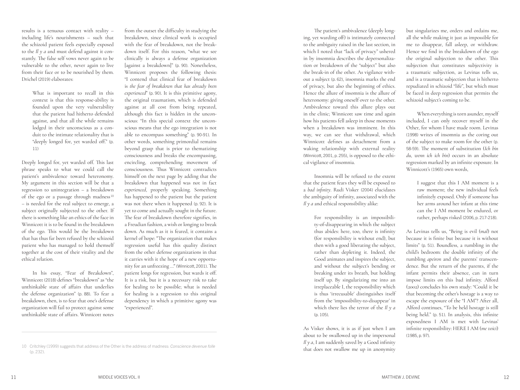results is a tenuous contact with reality – including life's nourishments – such that the schizoid patient feels especially exposed to the *Il y a* and must defend against it constantly. The false self vows never again to be vulnerable to the other, never again to live from their face or to be nourished by them. Drichel (2019) elaborates:

> What is important to recall in this context is that this response-ability is founded upon the very vulnerability that the patient had hitherto defended against, and that all the while remains lodged in their unconscious as a conduit to the intimate relationality that is "deeply longed for, yet warded off." (p. 11)

Deeply longed for, yet warded off. This last phrase speaks to what we could call the patient's ambivalence toward heteronomy. My argument in this section will be that a regression to unintegration – a breakdown of the ego or a passage through madness<sup>10</sup> – is needed for the real subject to emerge, a subject originally subjected to the other. If there is something like an ethics of the face in Winnicott it is to be found in the breakdown of the ego. This would be the breakdown that has thus far been refused by the schizoid patient who has managed to hold themself together at the cost of their vitality and the ethical relation.

In his essay, "Fear of Breakdown", Winnicott (2018) defines "breakdown" as "the unthinkable state of affairs that underlies the defense organization" (p. 88). To fear a breakdown, then, is to fear that one's defense organization will fail to protect against some unthinkable state of affairs. Winnicott notes

from the outset the difficulty in studying the breakdown, since clinical work is occupied with the fear of breakdown, not the breakdown itself. For this reason, "what we see clinically is always a defense organization [against a breakdown]" (p. 90). Nonetheless, Winnicott proposes the following thesis: "I contend that clinical fear of breakdown is *the fear of breakdown that has already been experienced*" (p. 90). It is this primitive agony, the original traumatism, which is defended against at all cost from being repeated, although this fact is hidden in the unconscious: "In this special context the unconscious means that the ego integration is not able to encompass something" (p. 90-91). In other words, something primordial remains beyond grasp that is prior to thematizing consciousness and breaks the encompassing, encircling, comprehending movement of consciousness. Thus Winnicott contradicts himself on the next page by adding that the breakdown that happened was not in fact *experienced*, properly speaking. Something has happened to the patient but the patient was not there when it happened (p. 92). It is yet to come and actually sought in the future. The fear of breakdown therefore signifies, in a Freudian fashion, a wish or longing to break down. As much as it is feared, it contains a kernel of hope: "The organization that makes regression useful has this quality distinct from the other defense organizations in that it carries with it the hope of a new opportunity for an unfreezing …" (Winnicott, 2001). The patient longs for regression, but wards it off. It is a risk, but it is a necessary risk to take for healing to be possible; what is needed for healing is a regression to this original dependency in which a primitive agony was "experienced".

The patient's ambivalence (deeply longing, yet warding off) is intimately connected to the ambiguity raised in the last section, in which I noted that "lack of privacy" ushered in by insomnia describes the depersonalization or breakdown of the "subject" but also the break-in of the other. As vigilance without a subject (p. 62), insomnia marks the end of privacy, but also the beginning of ethics. Hence the allure of insomnia is the allure of heteronomy: giving oneself over to the other. Ambivalence toward this allure plays out in the clinic; Winnicott saw time and again how his patients fell asleep in those moments when a breakdown was imminent. In this way, we can see that withdrawal, which Winnicott defines as detachment from a waking relationship with external reality (Winnicott, 2001, p. 255), is opposed to the ethical vigilance of insomnia.

Insomnia will be refused to the extent that the patient fears they will be exposed to a *bad infinity*. Rudi Visker (2004) elucidates the ambiguity of infinity, associated with the *Il y a* and ethical responsibility alike:

> For responsibility is an impossibility-of-disappearing in which the subject thus abides: here, too, there is infinity (for responsibility is without end), but then with a good liberating the subject, rather than depleting it. Indeed, the Good animates and inspires the subject, and without the subject's bending or breaking under its breath, but holding itself up. By singularizing me into an irreplaceable I, the responsibility which is thus 'irrecusable' distinguishes itself from the 'impossibility-to-disappear' in which there lies the terror of the *Il y a* (p. 105).

As Visker shows, it is as if just when I am about to be swallowed up in the impersonal *Il y a*, I am suddenly saved by a Good infinity that does not swallow me up in anonymity but singularizes me, orders and ordains me, all the while making it just as impossible for me to disappear, fall asleep, or withdraw. Hence we find in the breakdown of the ego the original subjection to the other. This subjection that constitutes subjectivity is a traumatic subjection, as Levinas tells us, and is a traumatic subjection that is hitherto repudiated in schizoid "life", but which must be faced in deep regression that permits the schizoid subject's coming to be.

When everything is torn asunder, myself included, I can only recover myself in the Other, for whom I have made room. Levinas (1998) writes of insomnia as the coring out of the subject to make room for the other (p. 58-59). The moment of substitution (*Ich bin du, wenn ich ich bin*) occurs in an absolute regression marked by an infinite exposure. In Winnicott's (1965) own words,

> I suggest that this I AM moment is a raw moment; the new individual feels infinitely exposed. Only if someone has her arms around her infant at this time can the I AM moment be endured, or rather, perhaps risked (2006, p. 217-218).

As Levinas tells us, "Being is evil (*mal*) not because it is finite but because it is without limits" (p. 51). Boundless, a rumbling in the child's bedroom: the double infinity of the rumbling *apeiron* and the parents' transcendence. But the return of the parents, if the infant permits their absence, can in turn impose limits on this bad infinity. Alford (2002) concludes his own study: "Could it be that becoming the other's hostage is a way to escape the exposure of the "I AM"? After all, Alford continues, "To be held hostage is still being held." (p. 51). In analysis, this infinite exposedness I AM is met with Levinas' infinite responsibility: HERE I AM (*me voici*) (1985, p. 97).

<sup>10</sup> Critchley (1999) suggests that address of the Other is the address of madness: *Conscience devenue folle* (p. 232).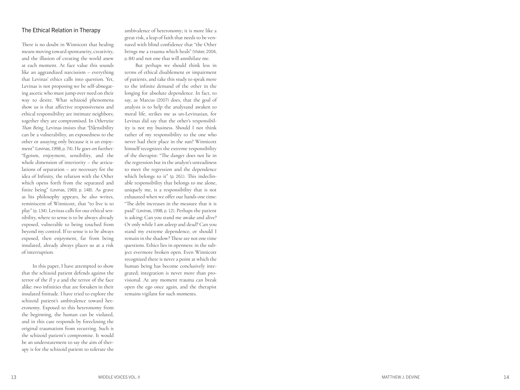#### The Ethical Relation in Therapy

There is no doubt in Winnicott that healing means moving toward spontaneity, creativity, and the illusion of creating the world anew at each moment. At face value this sounds like an aggrandized narcissism – everything that Levinas' ethics calls into question. Yet, Levinas is not proposing we be self-abnegat ing ascetic who must jump over need on their way to desire. What schizoid phenomena show us is that affective responsiveness and ethical responsibility are intimate neighbors; together they are compromised. In *Otherwise Than Being*, Levinas insists that "[S]ensibility can be a vulnerability, an exposedness to the other or assaying only because it is an enjoy ment" (Levinas, 1998, p. 74). He goes on further: "Egoism, enjoyment, sensibility, and the whole dimension of interiority – the articulations of separation – are necessary for the idea of Infinity, the relation with the Other which opens forth from the separated and finite being" (Levinas, 1969, p. 148). As grave as his philosophy appears, he also writes, reminiscent of Winnicott, that "to live is to play" (p. 134). Levinas calls for our ethical sen sibility, where to sense is to be always already exposed, vulnerable to being touched from beyond my control. If to sense is to be always exposed, then enjoyment, far from being insulated, already always places us at a risk of interruption.

In this paper, I have attempted to show that the schizoid patient defends against the terror of the *Il y a* and the terror of the face alike: two infinities that are forsaken in their insulated finitude. I have tried to explore the schizoid patient's ambivalence toward het eronomy. Exposed to this heteronomy from the beginning, the human can be violated, and in this case responds by foreclosing the original traumatism from recurring. Such is the schizoid patient's compromise. It would be an understatement to say the aim of ther apy is for the schizoid patient to tolerate the

ambivalence of heteronomy; it is more like a great risk, a leap of faith that needs to be ven tured with blind confidence that "the Other brings me a trauma which heals" (Visker, 2004, p. 84) and not one that will annihilate me.

But perhaps we should think less in terms of ethical disablement or impairment of patients, and take this study to speak more to the infinite demand of the other in the longing for absolute dependence. In fact, to say, as Marcus (2007) does, that the goal of analysis is to help the analysand awaken to moral life, strikes me as un-Levinasian, for Levinas did say that the other's responsibil ity is not my business. Should I not think rather of my responsibility to the one who never had their place in the sun? Winnicott himself recognizes the extreme responsibility of the therapist: "The danger does not lie in the regression but in the analyst's unreadiness to meet the regression and the dependence which belongs to it" (p. 261). This indeclin able responsibility that belongs to me alone, uniquely me, is a responsibility that is not exhausted when we offer our hands one time: "The debt increases in the measure that it is paid" (Levinas, 1998, p. 12). Perhaps the patient is asking: Can you stand me awake and alive? Or only while I am asleep and dead? Can you stand my extreme dependence, or should I remain in the shadow? These are not one time questions. Ethics lies in openness: in the sub ject evermore broken open. Even Winnicott recognized there is never a point at which the human being has become conclusively inte grated; integration is never more than pro visional. At any moment trauma can break open the ego once again, and the therapist remains vigilant for such moments.